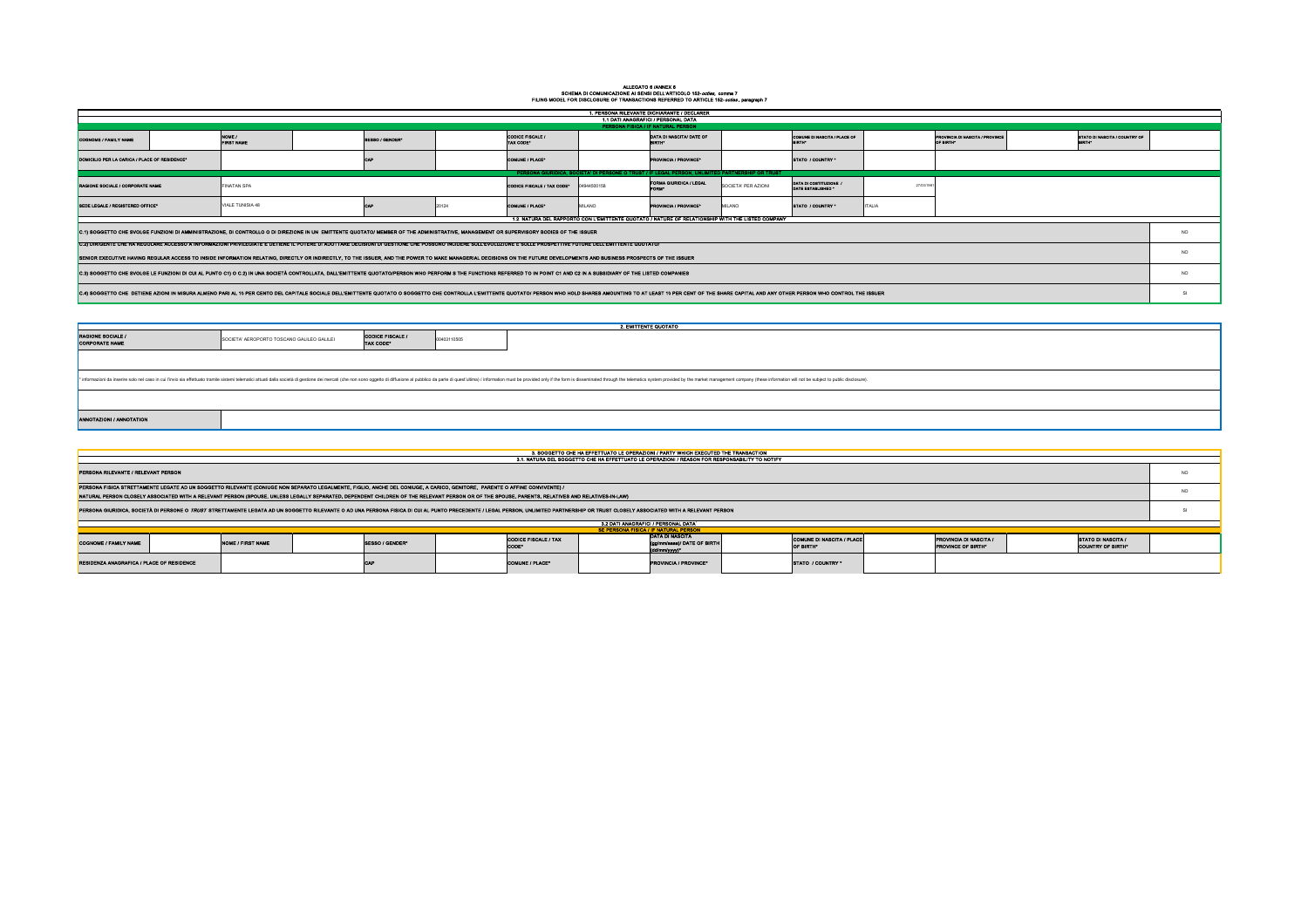## ALLEGATO 6 /ANNEX 6 SCHEMA DI COMUNICAZIONE AI SENSI DELL'ARTICOLO 152-*octies,* comma 7 FILING MODEL FOR DISCLOSURE OF TRANSACTIONS REFERRED TO ARTICLE 152-*octies* , paragraph 7

| SE PERSONA FISICA / IF NATURAL PERSON |                                      |  |                                                                          |  |                                               |  |  |  |  |  |  |
|---------------------------------------|--------------------------------------|--|--------------------------------------------------------------------------|--|-----------------------------------------------|--|--|--|--|--|--|
|                                       | <b>CODICE FISCALE / TAX</b><br>CODE* |  | IDATA DI NASCITA<br>(gg/mm/aaaa)/ DATE OF BIRTH<br>$\vert$ (dd/mm/yyyy)* |  | COMUNE DI NASCITA / PLACE<br><b>OF BIRTH*</b> |  |  |  |  |  |  |
|                                       | <b>COMUNE / PLACE*</b>               |  | <b>IPROVINCIA / PROVINCE*</b>                                            |  | STATO / COUNTRY *                             |  |  |  |  |  |  |

| 1. PERSONA RILEVANTE DICHIARANTE / DECLARER                                                                                                                                                                                                                                                                                                                                                                 |  |                             |  |                 |       |                                             |             |                                                                                                                                                                                      |                     |                                              |                                                            |                                                       |           |
|-------------------------------------------------------------------------------------------------------------------------------------------------------------------------------------------------------------------------------------------------------------------------------------------------------------------------------------------------------------------------------------------------------------|--|-----------------------------|--|-----------------|-------|---------------------------------------------|-------------|--------------------------------------------------------------------------------------------------------------------------------------------------------------------------------------|---------------------|----------------------------------------------|------------------------------------------------------------|-------------------------------------------------------|-----------|
|                                                                                                                                                                                                                                                                                                                                                                                                             |  |                             |  |                 |       |                                             |             | 1.1 DATI ANAGRAFICI / PERSONAL DATA                                                                                                                                                  |                     |                                              |                                                            |                                                       |           |
|                                                                                                                                                                                                                                                                                                                                                                                                             |  |                             |  |                 |       |                                             |             | PERSONA FISICA / IF NATURAL PERSON                                                                                                                                                   |                     |                                              |                                                            |                                                       |           |
| COGNOME / FAMILY NAME                                                                                                                                                                                                                                                                                                                                                                                       |  | NOME /<br><b>FIRST NAME</b> |  | SESSO / GENDER* |       | <b>CODICE FISCALE /</b><br><b>TAX CODE*</b> |             | DATA DI NASCITA/ DATE OF<br><b>BIRTH*</b>                                                                                                                                            |                     | COMUNE DI NASCITA / PLACE OF                 | <b>PROVINCIA DI NASCITA / PROVINCE</b><br>OF BIRTH*        | STATO DI NASCITA / COUNTRY OF<br><b>BIRTH*</b>        |           |
| DOMICILIO PER LA CARICA / PLACE OF RESIDENCE*                                                                                                                                                                                                                                                                                                                                                               |  |                             |  |                 |       | <b>COMUNE / PLACE*</b>                      |             | <b>PROVINCIA / PROVINCE*</b>                                                                                                                                                         |                     | STATO / COUNTRY *                            |                                                            |                                                       |           |
| PERSONA GIURIDICA, SOCIETA' DI PERSONE O TRUST / IF LEGAL PERSON, UNLIMITED PARTNERSHIP OR TRUST                                                                                                                                                                                                                                                                                                            |  |                             |  |                 |       |                                             |             |                                                                                                                                                                                      |                     |                                              |                                                            |                                                       |           |
| <b>RAGIONE SOCIALE / CORPORATE NAME</b>                                                                                                                                                                                                                                                                                                                                                                     |  | <b>FINATAN SPA</b>          |  |                 |       | CODICE FISCALE / TAX CODE*                  | 04944500158 | <b>FORMA GIURIDICA / LEGAL</b><br>FORM*                                                                                                                                              | SOCIETA' PER AZIONI | DATA DI COSTITUZIONE /<br>DATE ESTABLISHED * | 27/03/1981                                                 |                                                       |           |
| SEDE LEGALE / REGISTERED OFFICE*                                                                                                                                                                                                                                                                                                                                                                            |  | VIALE TUNISIA 48            |  | CAP             | 20124 | <b>COMUNE / PLACE*</b>                      | MILANO      | <b>PROVINCIA / PROVINCE*</b>                                                                                                                                                         | MILANO              | <b>ITALIA</b><br>STATO / COUNTRY *           |                                                            |                                                       |           |
|                                                                                                                                                                                                                                                                                                                                                                                                             |  |                             |  |                 |       |                                             |             | 1.2. NATURA DEL RAPPORTO CON L'EMITTENTE QUOTATO / NATURE OF RELATIONSHIP WITH THE LISTED COMPANY                                                                                    |                     |                                              |                                                            |                                                       | <b>NO</b> |
| C.1) SOGGETTO CHE SVOLGE FUNZIONI DI AMMINISTRAZIONE, DI CONTROLLO O DI DIREZIONE IN UN EMITTENTE QUOTATO/ MEMBER OF THE ADMINISTRATIVE, MANAGEMENT OR SUPERVISORY BODIES OF THE ISSUER<br>C.2) DIRIGENTE CHE HA REGOLARE ACCESSO A INFORMAZIONI PRIVILEGIATE E DETIENE IL POTERE DI ADOTTARE DECISIONI DI GESTIONE CHE POSSONO INCIDERE SULL'EVOLUZIONE E SULLE PROSPETTIVE FUTURE DELL'EMITTENTE QUOTATO/ |  |                             |  |                 |       |                                             |             |                                                                                                                                                                                      |                     |                                              |                                                            |                                                       |           |
| SENIOR EXECUTIVE HAVING REGULAR ACCESS TO INSIDE INFORMATION RELATING, DIRECTLY OR INDIRECTLY, TO THE ISSUER, AND THE POWER TO MAKE MANAGERIAL DECISIONS ON THE FUTURE DEVELOPMENTS AND BUSINESS PROSPECTS OF THE ISSUER                                                                                                                                                                                    |  |                             |  |                 |       |                                             |             |                                                                                                                                                                                      |                     |                                              |                                                            | <b>NO</b>                                             |           |
| C.3) SOGGETTO CHE SVOLGE LE FUNZIONI DI CUI AL PUNTO C1) O C.2) IN UNA SOCIETÀ CONTROLLATA, DALL'EMITTENTE QUOTATO/PERSON WHO PERFORM S THE FUNCTIONS REFERRED TO IN POINT C1 AND C2 IN A SUBSIDIARY OF THE LISTED COMPANIES                                                                                                                                                                                |  |                             |  |                 |       |                                             |             |                                                                                                                                                                                      |                     |                                              | <b>NO</b>                                                  |                                                       |           |
| C.4) SOGGETTO CHE DETIENE AZIONI IN MISURA ALMENO PARI AL 10 PER CENTO DEL CAPITALE SOCIALE DELL'EMITTENTE QUOTATO O SOGGETTO CHE CONTROLLA L'EMITTENTE QUOTATO / PERSON WHO HOLD SHARES AMOUNTING TO AT LEAST 10 PER CENT OF                                                                                                                                                                               |  |                             |  |                 |       |                                             |             |                                                                                                                                                                                      |                     |                                              |                                                            |                                                       |           |
|                                                                                                                                                                                                                                                                                                                                                                                                             |  |                             |  |                 |       |                                             |             |                                                                                                                                                                                      |                     |                                              |                                                            |                                                       |           |
|                                                                                                                                                                                                                                                                                                                                                                                                             |  |                             |  |                 |       |                                             |             | <b>2. EMITTENTE QUOTATO</b>                                                                                                                                                          |                     |                                              |                                                            |                                                       |           |
| <b>RAGIONE SOCIALE /</b><br><b>CODICE FISCALE /</b><br>SOCIETA' AEROPORTO TOSCANO GALILEO GALILEI<br>00403110505<br>CORPORATE NAME<br>TAX CODE*                                                                                                                                                                                                                                                             |  |                             |  |                 |       |                                             |             |                                                                                                                                                                                      |                     |                                              |                                                            |                                                       |           |
|                                                                                                                                                                                                                                                                                                                                                                                                             |  |                             |  |                 |       |                                             |             |                                                                                                                                                                                      |                     |                                              |                                                            |                                                       |           |
| * informazioni da inserire solo nel caso in cui l'invio sia effettuato tramite sistemi telematici attuati dalla società di gestione dei mercati (che non sono oggetto di diffusione al pubblico da parte di quest'ultima) / in                                                                                                                                                                              |  |                             |  |                 |       |                                             |             |                                                                                                                                                                                      |                     |                                              |                                                            |                                                       |           |
|                                                                                                                                                                                                                                                                                                                                                                                                             |  |                             |  |                 |       |                                             |             |                                                                                                                                                                                      |                     |                                              |                                                            |                                                       |           |
| <b>ANNOTAZIONI / ANNOTATION</b>                                                                                                                                                                                                                                                                                                                                                                             |  |                             |  |                 |       |                                             |             |                                                                                                                                                                                      |                     |                                              |                                                            |                                                       |           |
|                                                                                                                                                                                                                                                                                                                                                                                                             |  |                             |  |                 |       |                                             |             |                                                                                                                                                                                      |                     |                                              |                                                            |                                                       |           |
|                                                                                                                                                                                                                                                                                                                                                                                                             |  |                             |  |                 |       |                                             |             | 3. SOGGETTO CHE HA EFFETTUATO LE OPERAZIONI / PARTY WHICH EXECUTED THE TRANSACTION<br>3.1. NATURA DEL SOGGETTO CHE HA EFFETTUATO LE OPERAZIONI / REASON FOR RESPONSABILITY TO NOTIFY |                     |                                              |                                                            |                                                       |           |
| <b>PERSONA RILEVANTE / RELEVANT PERSON</b>                                                                                                                                                                                                                                                                                                                                                                  |  |                             |  |                 |       |                                             |             |                                                                                                                                                                                      |                     |                                              |                                                            |                                                       | <b>NO</b> |
| PERSONA FISICA STRETTAMENTE LEGATE AD UN SOGGETTO RILEVANTE (CONIUGE NON SEPARATO LEGALMENTE, FIGLIO, ANCHE DEL CONIUGE, A CARICO, GENITORE, PARENTE O AFFINE CONVIVENTE) /<br>NATURAL PERSON CLOSELY ASSOCIATED WITH A RELEVANT PERSON (SPOUSE, UNLESS LEGALLY SEPARATED, DEPENDENT CHILDREN OF THE RELEVANT PERSON OR OF THE SPOUSE, PARENTS, RELATIVES AND RELATIVES-IN-LAW)                             |  |                             |  |                 |       |                                             |             |                                                                                                                                                                                      |                     |                                              |                                                            |                                                       | <b>NO</b> |
| PERSONA GIURIDICA, SOCIETÀ DI PERSONE O TRUST STRETTAMENTE LEGATA AD UN SOGGETTO RILEVANTE O AD UNA PERSONA FISICA DI CUI AL PUNTO PRECEDENTE / LEGAL PERSON, UNLIMITED PARTNERSHIP OR TRUST CLOSELY ASSOCIATED WITH A RELEVAN                                                                                                                                                                              |  |                             |  |                 |       |                                             |             |                                                                                                                                                                                      |                     |                                              |                                                            |                                                       |           |
|                                                                                                                                                                                                                                                                                                                                                                                                             |  |                             |  |                 |       |                                             |             | 3.2 DATI ANAGRAFICI / PERSONAL DATA $^\mathrm{1}$                                                                                                                                    |                     |                                              |                                                            |                                                       |           |
|                                                                                                                                                                                                                                                                                                                                                                                                             |  |                             |  |                 |       |                                             |             | SE PERSONA FISICA / IF NATURAL PERSON<br><b>DATA DI NASCITA</b>                                                                                                                      |                     |                                              |                                                            |                                                       |           |
| COGNOME / FAMILY NAME                                                                                                                                                                                                                                                                                                                                                                                       |  | <b>NOME / FIRST NAME</b>    |  | SESSO / GENDER* |       | <b>CODICE FISCALE / TAX</b><br>CODE*        |             | (gg/mm/aaaa)/ DATE OF BIRTH<br>(dd/mm/yyyy)*                                                                                                                                         |                     | COMUNE DI NASCITA / PLACE<br>OF BIRTH*       | <b>PROVINCIA DI NASCITA /</b><br><b>PROVINCE OF BIRTH*</b> | <b>STATO DI NASCITA /</b><br><b>COUNTRY OF BIRTH*</b> |           |
| RESIDENZA ANAGRAFICA / PLACE OF RESIDENCE                                                                                                                                                                                                                                                                                                                                                                   |  |                             |  | <b>CAP</b>      |       | COMUNE / PLACE*                             |             | <b>PROVINCIA / PROVINCE*</b>                                                                                                                                                         |                     | STATO / COUNTRY *                            |                                                            |                                                       |           |

|                                                                                                                                                                                                                                                                                                                                                                                                             |  |                                            |  |                                      |                                                                                                                                                                                                                                                                                                                                                                                 |                                      |                                                                                                                                                                                      | 1. PERSONA RILEVANTE DICHIARANTE / DECLARER<br>1.1 DATI ANAGRAFICI / PERSONAL DATA       |                     |                                                                                                                                                                                                                                |               |                                                            |                                                       |                               |           |
|-------------------------------------------------------------------------------------------------------------------------------------------------------------------------------------------------------------------------------------------------------------------------------------------------------------------------------------------------------------------------------------------------------------|--|--------------------------------------------|--|--------------------------------------|---------------------------------------------------------------------------------------------------------------------------------------------------------------------------------------------------------------------------------------------------------------------------------------------------------------------------------------------------------------------------------|--------------------------------------|--------------------------------------------------------------------------------------------------------------------------------------------------------------------------------------|------------------------------------------------------------------------------------------|---------------------|--------------------------------------------------------------------------------------------------------------------------------------------------------------------------------------------------------------------------------|---------------|------------------------------------------------------------|-------------------------------------------------------|-------------------------------|-----------|
|                                                                                                                                                                                                                                                                                                                                                                                                             |  |                                            |  |                                      |                                                                                                                                                                                                                                                                                                                                                                                 |                                      |                                                                                                                                                                                      | PERSONA FISICA / IF NATURAL PERSON                                                       |                     |                                                                                                                                                                                                                                |               |                                                            |                                                       |                               |           |
| <b>COGNOME / FAMILY NAME</b>                                                                                                                                                                                                                                                                                                                                                                                |  | NOME /<br><b>FIRST NAME</b>                |  | SESSO / GENDER*                      |                                                                                                                                                                                                                                                                                                                                                                                 | <b>CODICE FISCALE /</b><br>TAX CODE* |                                                                                                                                                                                      | DATA DI NASCITA/ DATE OF                                                                 |                     | COMUNE DI NASCITA / PLACE OF                                                                                                                                                                                                   |               | <b>PROVINCIA DI NASCITA / PROVINCE</b><br>OF BIRTH*        | <b>BIRTH*</b>                                         | STATO DI NASCITA / COUNTRY OF |           |
| DOMICILIO PER LA CARICA / PLACE OF RESIDENCE*                                                                                                                                                                                                                                                                                                                                                               |  |                                            |  | <b>CAP</b>                           |                                                                                                                                                                                                                                                                                                                                                                                 | <b>COMUNE / PLACE*</b>               |                                                                                                                                                                                      | <b>PROVINCIA / PROVINCE*</b>                                                             |                     | STATO / COUNTRY *                                                                                                                                                                                                              |               |                                                            |                                                       |                               |           |
|                                                                                                                                                                                                                                                                                                                                                                                                             |  |                                            |  |                                      |                                                                                                                                                                                                                                                                                                                                                                                 |                                      | PERSONA GIURIDICA, SOCIETA' DI PERSONE O TRUST / IF LEGAL PERSON, UNLIMITED PARTNERSHIP OR TRUST                                                                                     |                                                                                          |                     |                                                                                                                                                                                                                                |               |                                                            |                                                       |                               |           |
| RAGIONE SOCIALE / CORPORATE NAME                                                                                                                                                                                                                                                                                                                                                                            |  | <b>FINATAN SPA</b>                         |  |                                      |                                                                                                                                                                                                                                                                                                                                                                                 | CODICE FISCALE / TAX CODE*           | 04944500158                                                                                                                                                                          | <b>FORMA GIURIDICA / LEGAL</b>                                                           | SOCIETA' PER AZIONI | DATA DI COSTITUZIONE /<br>DATE ESTABLISHED *                                                                                                                                                                                   | 27/03/198     |                                                            |                                                       |                               |           |
| SEDE LEGALE / REGISTERED OFFICE*                                                                                                                                                                                                                                                                                                                                                                            |  | VIALE TUNISIA 48                           |  | <b>CAP</b>                           | 20124                                                                                                                                                                                                                                                                                                                                                                           | <b>COMUNE / PLACE*</b>               | MILANO                                                                                                                                                                               | <b>PROVINCIA / PROVINCE*</b>                                                             | MILANO              | STATO / COUNTRY *                                                                                                                                                                                                              | <b>ITALIA</b> |                                                            |                                                       |                               |           |
|                                                                                                                                                                                                                                                                                                                                                                                                             |  |                                            |  |                                      |                                                                                                                                                                                                                                                                                                                                                                                 |                                      | 1.2. NATURA DEL RAPPORTO CON L'EMITTENTE QUOTATO / NATURE OF RELATIONSHIP WITH THE LISTED COMPANY                                                                                    |                                                                                          |                     |                                                                                                                                                                                                                                |               |                                                            |                                                       |                               |           |
| C.1) SOGGETTO CHE SVOLGE FUNZIONI DI AMMINISTRAZIONE, DI CONTROLLO O DI DIREZIONE IN UN EMITTENTE QUOTATO/ MEMBER OF THE ADMINISTRATIVE, MANAGEMENT OR SUPERVISORY BODIES OF THE ISSUER<br>C.2) DIRIGENTE CHE HA REGOLARE ACCESSO A INFORMAZIONI PRIVILEGIATE E DETIENE IL POTERE DI ADOTTARE DECISIONI DI GESTIONE CHE POSSONO INCIDERE SULL'EVOLUZIONE E SULLE PROSPETTIVE FUTURE DELL'EMITTENTE QUOTATO/ |  |                                            |  |                                      |                                                                                                                                                                                                                                                                                                                                                                                 |                                      |                                                                                                                                                                                      |                                                                                          |                     |                                                                                                                                                                                                                                |               |                                                            |                                                       | <b>NO</b>                     |           |
| SENIOR EXECUTIVE HAVING REGULAR ACCESS TO INSIDE INFORMATION RELATING, DIRECTLY OR INDIRECTLY, TO THE ISSUER, AND THE POWER TO MAKE MANAGERIAL DECISIONS ON THE FUTURE DEVELOPMENTS AND BUSINESS PROSPECTS OF THE ISSUER                                                                                                                                                                                    |  |                                            |  |                                      |                                                                                                                                                                                                                                                                                                                                                                                 |                                      |                                                                                                                                                                                      |                                                                                          |                     |                                                                                                                                                                                                                                |               |                                                            | <b>NO</b>                                             |                               |           |
| C.3) SOGGETTO CHE SVOLGE LE FUNZIONI DI CUI AL PUNTO C1) O C.2) IN UNA SOCIETÀ CONTROLLATA, DALL'EMITTENTE QUOTATO/PERSON WHO PERFORM S THE FUNCTIONS REFERRED TO IN POINT C1 AND C2 IN A SUBSIDIARY OF THE LISTED COMPANIES                                                                                                                                                                                |  |                                            |  |                                      |                                                                                                                                                                                                                                                                                                                                                                                 |                                      |                                                                                                                                                                                      |                                                                                          |                     |                                                                                                                                                                                                                                |               |                                                            | <b>NO</b>                                             |                               |           |
| C.4) SOGGETTO CHE DETIENE AZIONI IN MISURA ALMENO PARI AL 10 PER CENTO DEL CAPITALE SOCIALE DELL'EMITTENTE QUOTATO O SOGGETTO CHE CONTROLLA L'EMITTENTE QUOTATO / PERSON WHO HOLD SHARES AMOUNTING TO AT LEAST 10 PER CENT OF                                                                                                                                                                               |  |                                            |  |                                      |                                                                                                                                                                                                                                                                                                                                                                                 |                                      |                                                                                                                                                                                      |                                                                                          |                     |                                                                                                                                                                                                                                |               |                                                            |                                                       |                               |           |
|                                                                                                                                                                                                                                                                                                                                                                                                             |  |                                            |  |                                      |                                                                                                                                                                                                                                                                                                                                                                                 |                                      |                                                                                                                                                                                      |                                                                                          |                     |                                                                                                                                                                                                                                |               |                                                            |                                                       |                               |           |
|                                                                                                                                                                                                                                                                                                                                                                                                             |  |                                            |  |                                      |                                                                                                                                                                                                                                                                                                                                                                                 |                                      |                                                                                                                                                                                      | <b>2. EMITTENTE QUOTATO</b>                                                              |                     |                                                                                                                                                                                                                                |               |                                                            |                                                       |                               |           |
| <b>RAGIONE SOCIALE /</b><br><b>CORPORATE NAME</b>                                                                                                                                                                                                                                                                                                                                                           |  | SOCIETA' AEROPORTO TOSCANO GALILEO GALILEI |  | <b>CODICE FISCALE /</b><br>TAX CODE* | 00403110505                                                                                                                                                                                                                                                                                                                                                                     |                                      |                                                                                                                                                                                      |                                                                                          |                     |                                                                                                                                                                                                                                |               |                                                            |                                                       |                               |           |
|                                                                                                                                                                                                                                                                                                                                                                                                             |  |                                            |  |                                      |                                                                                                                                                                                                                                                                                                                                                                                 |                                      |                                                                                                                                                                                      |                                                                                          |                     |                                                                                                                                                                                                                                |               |                                                            |                                                       |                               |           |
|                                                                                                                                                                                                                                                                                                                                                                                                             |  |                                            |  |                                      |                                                                                                                                                                                                                                                                                                                                                                                 |                                      |                                                                                                                                                                                      |                                                                                          |                     | * informazioni da inserire solo nel caso in cui l'invio sia effettuato tramite sistemi telematici attuati dalla società di gestione dei mercati (che non sono oggetto di diffusione al pubblico da parte di quest'ultima) / in |               |                                                            |                                                       |                               |           |
|                                                                                                                                                                                                                                                                                                                                                                                                             |  |                                            |  |                                      |                                                                                                                                                                                                                                                                                                                                                                                 |                                      |                                                                                                                                                                                      |                                                                                          |                     |                                                                                                                                                                                                                                |               |                                                            |                                                       |                               |           |
| <b>ANNOTAZIONI / ANNOTATION</b>                                                                                                                                                                                                                                                                                                                                                                             |  |                                            |  |                                      |                                                                                                                                                                                                                                                                                                                                                                                 |                                      |                                                                                                                                                                                      |                                                                                          |                     |                                                                                                                                                                                                                                |               |                                                            |                                                       |                               |           |
|                                                                                                                                                                                                                                                                                                                                                                                                             |  |                                            |  |                                      |                                                                                                                                                                                                                                                                                                                                                                                 |                                      |                                                                                                                                                                                      |                                                                                          |                     |                                                                                                                                                                                                                                |               |                                                            |                                                       |                               |           |
|                                                                                                                                                                                                                                                                                                                                                                                                             |  |                                            |  |                                      |                                                                                                                                                                                                                                                                                                                                                                                 |                                      | 3. SOGGETTO CHE HA EFFETTUATO LE OPERAZIONI / PARTY WHICH EXECUTED THE TRANSACTION<br>3.1. NATURA DEL SOGGETTO CHE HA EFFETTUATO LE OPERAZIONI / REASON FOR RESPONSABILITY TO NOTIFY |                                                                                          |                     |                                                                                                                                                                                                                                |               |                                                            |                                                       |                               |           |
| <b>PERSONA RILEVANTE / RELEVANT PERSON</b>                                                                                                                                                                                                                                                                                                                                                                  |  |                                            |  |                                      |                                                                                                                                                                                                                                                                                                                                                                                 |                                      |                                                                                                                                                                                      |                                                                                          |                     |                                                                                                                                                                                                                                |               |                                                            |                                                       |                               | <b>NO</b> |
|                                                                                                                                                                                                                                                                                                                                                                                                             |  |                                            |  |                                      | PERSONA FISICA STRETTAMENTE LEGATE AD UN SOGGETTO RILEVANTE (CONIUGE NON SEPARATO LEGALMENTE, FIGLIO, ANCHE DEL CONIUGE, A CARICO, GENITORE, PARENTE O AFFINE CONVIVENTE) /<br>NATURAL PERSON CLOSELY ASSOCIATED WITH A RELEVANT PERSON (SPOUSE, UNLESS LEGALLY SEPARATED, DEPENDENT CHILDREN OF THE RELEVANT PERSON OR OF THE SPOUSE, PARENTS, RELATIVES AND RELATIVES-IN-LAW) |                                      |                                                                                                                                                                                      |                                                                                          |                     |                                                                                                                                                                                                                                |               |                                                            |                                                       |                               | <b>NO</b> |
|                                                                                                                                                                                                                                                                                                                                                                                                             |  |                                            |  |                                      | PERSONA GIURIDICA, SOCIETÀ DI PERSONE O <i>TRUST</i> STRETTAMENTE LEGATA AD UN SOGGETTO RILEVANTE O AD UNA PERSONA FISICA DI CUI AL PUNTO PRECEDENTE / LEGAL PERSON, UNLIMITED PARTNERSHIP OR TRUST CLOSELY ASSOCIATED WITH A RELEV                                                                                                                                             |                                      |                                                                                                                                                                                      |                                                                                          |                     |                                                                                                                                                                                                                                |               |                                                            |                                                       |                               |           |
|                                                                                                                                                                                                                                                                                                                                                                                                             |  |                                            |  |                                      |                                                                                                                                                                                                                                                                                                                                                                                 |                                      |                                                                                                                                                                                      | 3.2 DATI ANAGRAFICI / PERSONAL DATA $^\text{1}$<br>SE PERSONA FISICA / IF NATURAL PERSON |                     |                                                                                                                                                                                                                                |               |                                                            |                                                       |                               |           |
| COGNOME / FAMILY NAME                                                                                                                                                                                                                                                                                                                                                                                       |  | <b>NOME / FIRST NAME</b>                   |  | SESSO / GENDER*                      |                                                                                                                                                                                                                                                                                                                                                                                 | <b>CODICE FISCALE / TAX</b><br>CODE* |                                                                                                                                                                                      | <b>DATA DI NASCITA</b><br>(gg/mm/aaaa)/ DATE OF BIRTH                                    |                     | COMUNE DI NASCITA / PLACE<br><b>OF BIRTH*</b>                                                                                                                                                                                  |               | <b>PROVINCIA DI NASCITA /</b><br><b>PROVINCE OF BIRTH*</b> | <b>STATO DI NASCITA /</b><br><b>COUNTRY OF BIRTH*</b> |                               |           |
| RESIDENZA ANAGRAFICA / PLACE OF RESIDENCE                                                                                                                                                                                                                                                                                                                                                                   |  |                                            |  | <b>CAP</b>                           |                                                                                                                                                                                                                                                                                                                                                                                 | COMUNE / PLACE*                      |                                                                                                                                                                                      | (dd/mm/yyyy)*<br><b>PROVINCIA / PROVINCE*</b>                                            |                     | STATO / COUNTRY *                                                                                                                                                                                                              |               |                                                            |                                                       |                               |           |